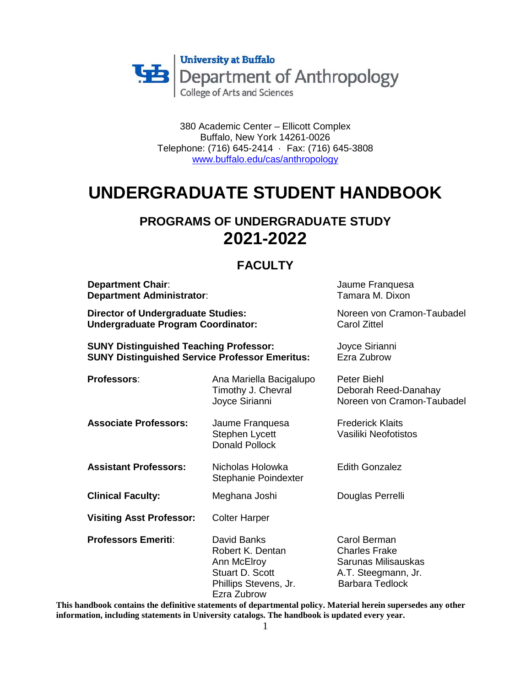

380 Academic Center – Ellicott Complex Buffalo, New York 14261-0026 Telephone: (716) 645-2414 · Fax: (716) 645-3808 [www.buffalo.edu/cas/anthropology](http://www.buffalo.edu/cas/anthropology)

# **UNDERGRADUATE STUDENT HANDBOOK**

## **PROGRAMS OF UNDERGRADUATE STUDY 2021-2022**

## **FACULTY**

| <b>Department Chair:</b><br><b>Department Administrator:</b><br><b>Director of Undergraduate Studies:</b><br><b>Undergraduate Program Coordinator:</b><br><b>SUNY Distinguished Teaching Professor:</b><br><b>SUNY Distinguished Service Professor Emeritus:</b> |                                                                                                                  | Jaume Franquesa<br>Tamara M. Dixon<br>Noreen von Cramon-Taubadel<br><b>Carol Zittel</b><br>Joyce Sirianni<br>Ezra Zubrow |                              |                                                                   |                                                                   |
|------------------------------------------------------------------------------------------------------------------------------------------------------------------------------------------------------------------------------------------------------------------|------------------------------------------------------------------------------------------------------------------|--------------------------------------------------------------------------------------------------------------------------|------------------------------|-------------------------------------------------------------------|-------------------------------------------------------------------|
|                                                                                                                                                                                                                                                                  |                                                                                                                  |                                                                                                                          | Professors:                  | Ana Mariella Bacigalupo<br>Timothy J. Chevral<br>Joyce Sirianni   | Peter Biehl<br>Deborah Reed-Danahay<br>Noreen von Cramon-Taubadel |
|                                                                                                                                                                                                                                                                  |                                                                                                                  |                                                                                                                          | <b>Associate Professors:</b> | Jaume Franquesa<br><b>Stephen Lycett</b><br><b>Donald Pollock</b> | <b>Frederick Klaits</b><br>Vasiliki Neofotistos                   |
| <b>Assistant Professors:</b>                                                                                                                                                                                                                                     | Nicholas Holowka<br>Stephanie Poindexter                                                                         | <b>Edith Gonzalez</b>                                                                                                    |                              |                                                                   |                                                                   |
| <b>Clinical Faculty:</b>                                                                                                                                                                                                                                         | Meghana Joshi                                                                                                    | Douglas Perrelli                                                                                                         |                              |                                                                   |                                                                   |
| <b>Visiting Asst Professor:</b>                                                                                                                                                                                                                                  | <b>Colter Harper</b>                                                                                             |                                                                                                                          |                              |                                                                   |                                                                   |
| <b>Professors Emeriti:</b>                                                                                                                                                                                                                                       | David Banks<br>Robert K. Dentan<br>Ann McElroy<br><b>Stuart D. Scott</b><br>Phillips Stevens, Jr.<br>Ezra Zubrow | Carol Berman<br><b>Charles Frake</b><br>Sarunas Milisauskas<br>A.T. Steegmann, Jr.<br><b>Barbara Tedlock</b>             |                              |                                                                   |                                                                   |

**This handbook contains the definitive statements of departmental policy. Material herein supersedes any other information, including statements in University catalogs. The handbook is updated every year.**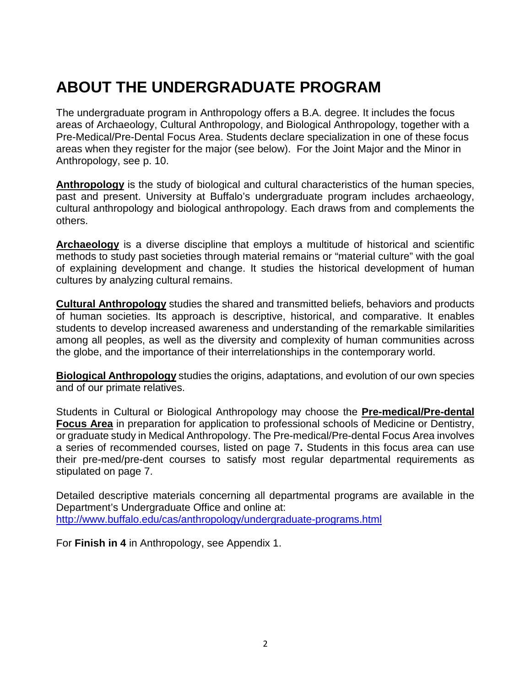# **ABOUT THE UNDERGRADUATE PROGRAM**

The undergraduate program in Anthropology offers a B.A. degree. It includes the focus areas of Archaeology, Cultural Anthropology, and Biological Anthropology, together with a Pre-Medical/Pre-Dental Focus Area. Students declare specialization in one of these focus areas when they register for the major (see below). For the Joint Major and the Minor in Anthropology, see p. 10.

**Anthropology** is the study of biological and cultural characteristics of the human species, past and present. University at Buffalo's undergraduate program includes archaeology, cultural anthropology and biological anthropology. Each draws from and complements the others.

**Archaeology** is a diverse discipline that employs a multitude of historical and scientific methods to study past societies through material remains or "material culture" with the goal of explaining development and change. It studies the historical development of human cultures by analyzing cultural remains.

**Cultural Anthropology** studies the shared and transmitted beliefs, behaviors and products of human societies. Its approach is descriptive, historical, and comparative. It enables students to develop increased awareness and understanding of the remarkable similarities among all peoples, as well as the diversity and complexity of human communities across the globe, and the importance of their interrelationships in the contemporary world.

**Biological Anthropology** studies the origins, adaptations, and evolution of our own species and of our primate relatives.

Students in Cultural or Biological Anthropology may choose the **Pre-medical/Pre-dental Focus Area** in preparation for application to professional schools of Medicine or Dentistry, or graduate study in Medical Anthropology. The Pre-medical/Pre-dental Focus Area involves a series of recommended courses, listed on page 7**.** Students in this focus area can use their pre-med/pre-dent courses to satisfy most regular departmental requirements as stipulated on page 7.

Detailed descriptive materials concerning all departmental programs are available in the Department's Undergraduate Office and online at: http://www.buffalo.edu/cas/anthropology/undergraduate-programs.html

For **Finish in 4** in Anthropology, see Appendix 1.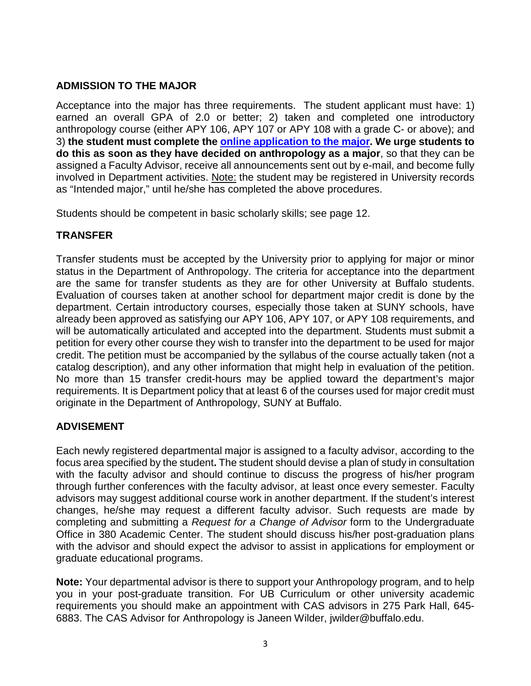## **ADMISSION TO THE MAJOR**

Acceptance into the major has three requirements. The student applicant must have: 1) earned an overall GPA of 2.0 or better; 2) taken and completed one introductory anthropology course (either APY 106, APY 107 or APY 108 with a grade C- or above); and 3) **the student must complete the [online application to the major.](http://www.buffalo.edu/cas/anthropology/undergraduate-programs/major_requirements/application-to-the-major.html) We urge students to do this as soon as they have decided on anthropology as a major**, so that they can be assigned a Faculty Advisor, receive all announcements sent out by e-mail, and become fully involved in Department activities. Note: the student may be registered in University records as "Intended major," until he/she has completed the above procedures.

Students should be competent in basic scholarly skills; see page 12.

## **TRANSFER**

Transfer students must be accepted by the University prior to applying for major or minor status in the Department of Anthropology. The criteria for acceptance into the department are the same for transfer students as they are for other University at Buffalo students. Evaluation of courses taken at another school for department major credit is done by the department. Certain introductory courses, especially those taken at SUNY schools, have already been approved as satisfying our APY 106, APY 107, or APY 108 requirements, and will be automatically articulated and accepted into the department. Students must submit a petition for every other course they wish to transfer into the department to be used for major credit. The petition must be accompanied by the syllabus of the course actually taken (not a catalog description), and any other information that might help in evaluation of the petition. No more than 15 transfer credit-hours may be applied toward the department's major requirements. It is Department policy that at least 6 of the courses used for major credit must originate in the Department of Anthropology, SUNY at Buffalo.

## **ADVISEMENT**

Each newly registered departmental major is assigned to a faculty advisor, according to the focus area specified by the student**.** The student should devise a plan of study in consultation with the faculty advisor and should continue to discuss the progress of his/her program through further conferences with the faculty advisor, at least once every semester. Faculty advisors may suggest additional course work in another department. If the student's interest changes, he/she may request a different faculty advisor. Such requests are made by completing and submitting a *Request for a Change of Advisor* form to the Undergraduate Office in 380 Academic Center. The student should discuss his/her post-graduation plans with the advisor and should expect the advisor to assist in applications for employment or graduate educational programs.

**Note:** Your departmental advisor is there to support your Anthropology program, and to help you in your post-graduate transition. For UB Curriculum or other university academic requirements you should make an appointment with CAS advisors in 275 Park Hall, 645- 6883. The CAS Advisor for Anthropology is Janeen Wilder, jwilder@buffalo.edu.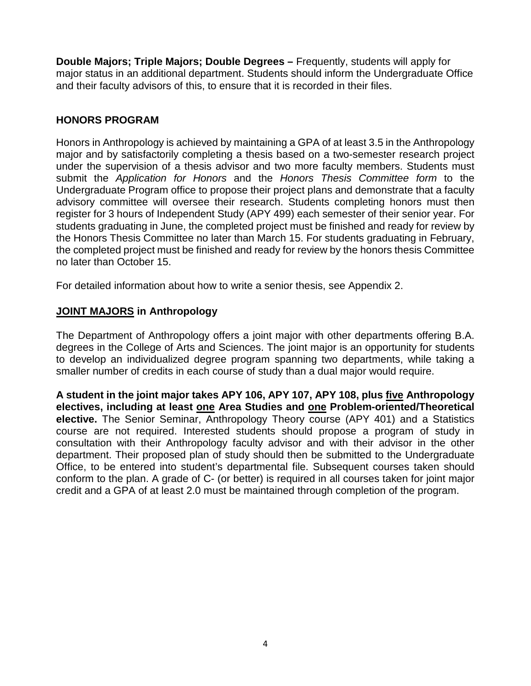**Double Majors; Triple Majors; Double Degrees –** Frequently, students will apply for major status in an additional department. Students should inform the Undergraduate Office and their faculty advisors of this, to ensure that it is recorded in their files.

## **HONORS PROGRAM**

Honors in Anthropology is achieved by maintaining a GPA of at least 3.5 in the Anthropology major and by satisfactorily completing a thesis based on a two-semester research project under the supervision of a thesis advisor and two more faculty members. Students must submit the *Application for Honors* and the *Honors Thesis Committee form* to the Undergraduate Program office to propose their project plans and demonstrate that a faculty advisory committee will oversee their research. Students completing honors must then register for 3 hours of Independent Study (APY 499) each semester of their senior year. For students graduating in June, the completed project must be finished and ready for review by the Honors Thesis Committee no later than March 15. For students graduating in February, the completed project must be finished and ready for review by the honors thesis Committee no later than October 15.

For detailed information about how to write a senior thesis, see Appendix 2.

## **JOINT MAJORS in Anthropology**

The Department of Anthropology offers a joint major with other departments offering B.A. degrees in the College of Arts and Sciences. The joint major is an opportunity for students to develop an individualized degree program spanning two departments, while taking a smaller number of credits in each course of study than a dual major would require.

**A student in the joint major takes APY 106, APY 107, APY 108, plus five Anthropology electives, including at least one Area Studies and one Problem-oriented/Theoretical elective.** The Senior Seminar, Anthropology Theory course (APY 401) and a Statistics course are not required. Interested students should propose a program of study in consultation with their Anthropology faculty advisor and with their advisor in the other department. Their proposed plan of study should then be submitted to the Undergraduate Office, to be entered into student's departmental file. Subsequent courses taken should conform to the plan. A grade of C- (or better) is required in all courses taken for joint major credit and a GPA of at least 2.0 must be maintained through completion of the program.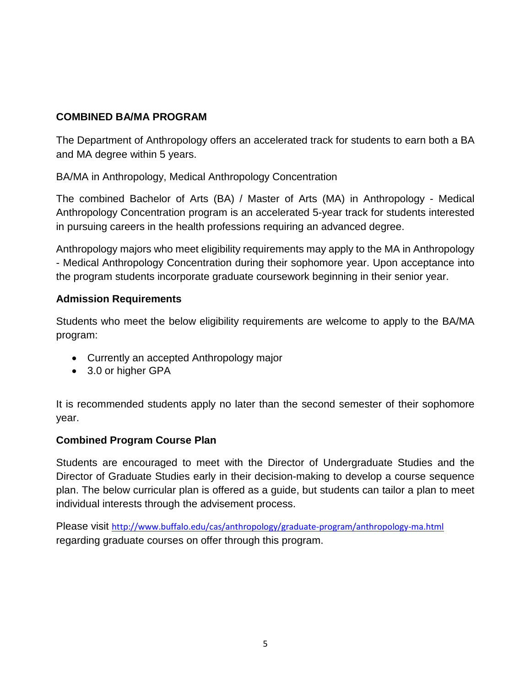## **COMBINED BA/MA PROGRAM**

The Department of Anthropology offers an accelerated track for students to earn both a BA and MA degree within 5 years.

BA/MA in Anthropology, Medical Anthropology Concentration

The combined Bachelor of Arts (BA) / Master of Arts (MA) in Anthropology - Medical Anthropology Concentration program is an accelerated 5-year track for students interested in pursuing careers in the health professions requiring an advanced degree.

Anthropology majors who meet eligibility requirements may apply to the MA in Anthropology - Medical Anthropology Concentration during their sophomore year. Upon acceptance into the program students incorporate graduate coursework beginning in their senior year.

## **Admission Requirements**

Students who meet the below eligibility requirements are welcome to apply to the BA/MA program:

- Currently an accepted Anthropology major
- 3.0 or higher GPA

It is recommended students apply no later than the second semester of their sophomore year.

#### **Combined Program Course Plan**

Students are encouraged to meet with the Director of Undergraduate Studies and the Director of Graduate Studies early in their decision-making to develop a course sequence plan. The below curricular plan is offered as a guide, but students can tailor a plan to meet individual interests through the advisement process.

Please visit <http://www.buffalo.edu/cas/anthropology/graduate-program/anthropology-ma.html> regarding graduate courses on offer through this program.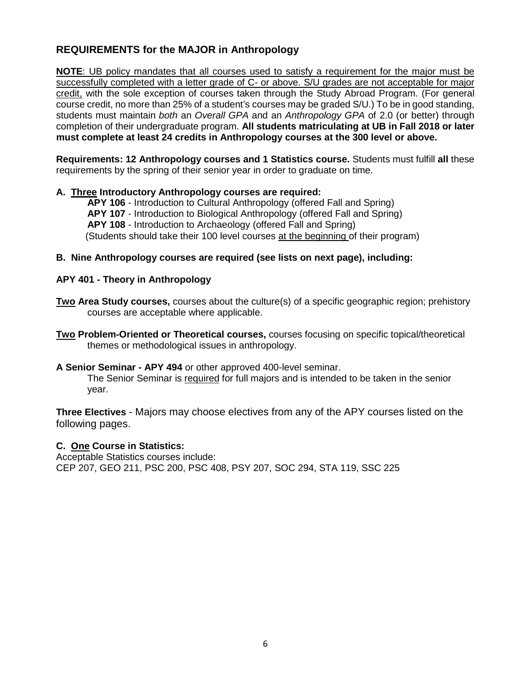## **REQUIREMENTS for the MAJOR in Anthropology**

**NOTE**: UB policy mandates that all courses used to satisfy a requirement for the major must be successfully completed with a letter grade of C- or above. S/U grades are not acceptable for major credit, with the sole exception of courses taken through the Study Abroad Program. (For general course credit, no more than 25% of a student's courses may be graded S/U.) To be in good standing, students must maintain *both* an *Overall GPA* and an *Anthropology GPA* of 2.0 (or better) through completion of their undergraduate program. **All students matriculating at UB in Fall 2018 or later must complete at least 24 credits in Anthropology courses at the 300 level or above.**

**Requirements: 12 Anthropology courses and 1 Statistics course.** Students must fulfill **all** these requirements by the spring of their senior year in order to graduate on time.

#### **A. Three Introductory Anthropology courses are required:**

 **APY 106** - Introduction to Cultural Anthropology (offered Fall and Spring)  **APY 107** - Introduction to Biological Anthropology (offered Fall and Spring)  **APY 108** - Introduction to Archaeology (offered Fall and Spring) (Students should take their 100 level courses at the beginning of their program)

#### **B. Nine Anthropology courses are required (see lists on next page), including:**

#### **APY 401 - Theory in Anthropology**

- **Two Area Study courses,** courses about the culture(s) of a specific geographic region; prehistory courses are acceptable where applicable.
- **Two Problem-Oriented or Theoretical courses,** courses focusing on specific topical/theoretical themes or methodological issues in anthropology.

#### **A Senior Seminar - APY 494** or other approved 400-level seminar.

 The Senior Seminar is required for full majors and is intended to be taken in the senior year.

**Three Electives** - Majors may choose electives from any of the APY courses listed on the following pages.

#### **C. One Course in Statistics:**

Acceptable Statistics courses include: CEP 207, GEO 211, PSC 200, PSC 408, PSY 207, SOC 294, STA 119, SSC 225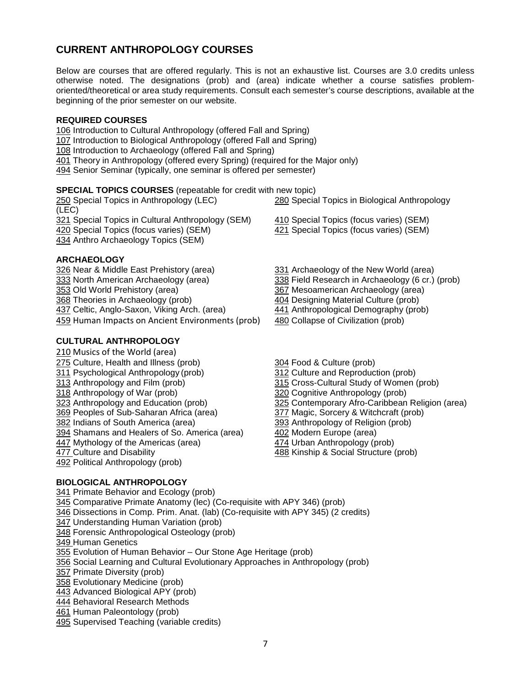### **CURRENT ANTHROPOLOGY COURSES**

Below are courses that are offered regularly. This is not an exhaustive list. Courses are 3.0 credits unless otherwise noted. The designations (prob) and (area) indicate whether a course satisfies problemoriented/theoretical or area study requirements. Consult each semester's course descriptions, available at the beginning of the prior semester on our website.

#### **REQUIRED COURSES**

 Introduction to Cultural Anthropology (offered Fall and Spring) Introduction to Biological Anthropology (offered Fall and Spring) Introduction to Archaeology (offered Fall and Spring) Theory in Anthropology (offered every Spring) (required for the Major only) Senior Seminar (typically, one seminar is offered per semester)

#### **SPECIAL TOPICS COURSES** (repeatable for credit with new topic)

 Special Topics in Anthropology (LEC) [280](http://undergrad-catalog.buffalo.edu/coursedescriptions/index.php?frm_abbr=APY&frm_num=280) Special Topics in Biological Anthropology (LEC) Special Topics in Cultural Anthropology (SEM) [410](http://undergrad-catalog.buffalo.edu/coursedescriptions/index.php?frm_abbr=APY&frm_num=410) Special Topics (focus varies) (SEM) Special Topics (focus varies) (SEM) [421](http://undergrad-catalog.buffalo.edu/coursedescriptions/index.php?frm_abbr=APY&frm_num=421) Special Topics (focus varies) (SEM) Anthro Archaeology Topics (SEM)

#### **ARCHAEOLOGY**

 Near & Middle East Prehistory (area) [331](http://undergrad-catalog.buffalo.edu/coursedescriptions/index.php?frm_abbr=APY&frm_num=331) Archaeology of the New World (area) North American Archaeology (area) [338](http://undergrad-catalog.buffalo.edu/coursedescriptions/index.php?frm_abbr=APY&frm_num=338) Field Research in Archaeology (6 cr.) (prob) Old World Prehistory (area) [367](http://undergrad-catalog.buffalo.edu/coursedescriptions/index.php?frm_abbr=APY&frm_num=367) Mesoamerican Archaeology (area) Theories in Archaeology (prob)<br> [404](http://undergrad-catalog.buffalo.edu/coursedescriptions/index.php?frm_abbr=APY&frm_num=404) Designing Material Culture (prob)<br>
441 Anthropological Demography (prob) Celtic, Anglo-Saxon, Viking Arch. (area) Human Impacts on Ancient Environments (prob) [480](http://undergrad-catalog.buffalo.edu/coursedescriptions/index.php?frm_abbr=APY&frm_num=480) Collapse of Civilization (prob)

#### **CULTURAL ANTHROPOLOGY**

 Musics of the World (area) Culture, Health and Illness (prob) [304](http://undergrad-catalog.buffalo.edu/coursedescriptions/index.php?frm_abbr=APY&frm_num=304) Food & Culture (prob) Psychological Anthropology (prob) 312 Culture and Reproduction (prob) Anthropology and Film (prob) [315](http://undergrad-catalog.buffalo.edu/coursedescriptions/index.php?frm_abbr=APY&frm_num=315) Cross-Cultural Study of Women (prob) Anthropology of War (prob) 320 Cognitive Anthropology (prob) Anthropology and Education (prob) [325](http://undergrad-catalog.buffalo.edu/coursedescriptions/index.php?frm_abbr=APY&frm_num=325) Contemporary Afro-Caribbean Religion (area) Peoples of Sub-Saharan Africa (area) [377](http://undergrad-catalog.buffalo.edu/coursedescriptions/index.php?frm_abbr=APY&frm_num=377) Magic, Sorcery & Witchcraft (prob) <u>[382](http://undergrad-catalog.buffalo.edu/coursedescriptions/index.php?frm_abbr=APY&frm_num=382)</u> Indians of South America (area) [393](http://undergrad-catalog.buffalo.edu/coursedescriptions/index.php?frm_abbr=APY&frm_num=393) Anthropology of Religion (prob)<br>394 Shamans and Healers of So. America (area) 402 Modern Europe (area) Shamans and Healers of So. America (area) Mythology of the Americas (area) [474](http://undergrad-catalog.buffalo.edu/coursedescriptions/index.php?frm_abbr=APY&frm_num=474) Urban Anthropology (prob) 477 Culture and Disability [488](http://undergrad-catalog.buffalo.edu/coursedescriptions/index.php?frm_abbr=APY&frm_num=488) Kinship & Social Structure (prob) Political Anthropology (prob)

- 
- 
- 
- 
- 
- 
- 
- 
- 
- 
- 
- 
- 
- 
- 

#### **BIOLOGICAL ANTHROPOLOGY**

 Primate Behavior and Ecology (prob) Comparative Primate Anatomy (lec) (Co-requisite with APY 346) (prob) Dissections in Comp. Prim. Anat. (lab) (Co-requisite with APY 345) (2 credits) Understanding Human Variation (prob) Forensic Anthropological Osteology (prob) 349 Human Genetics Evolution of Human Behavior – Our Stone Age Heritage (prob) Social Learning and Cultural Evolutionary Approaches in Anthropology (prob) Primate Diversity (prob) Evolutionary Medicine (prob) Advanced Biological APY (prob) Behavioral Research Methods Human Paleontology (prob) Supervised Teaching (variable credits)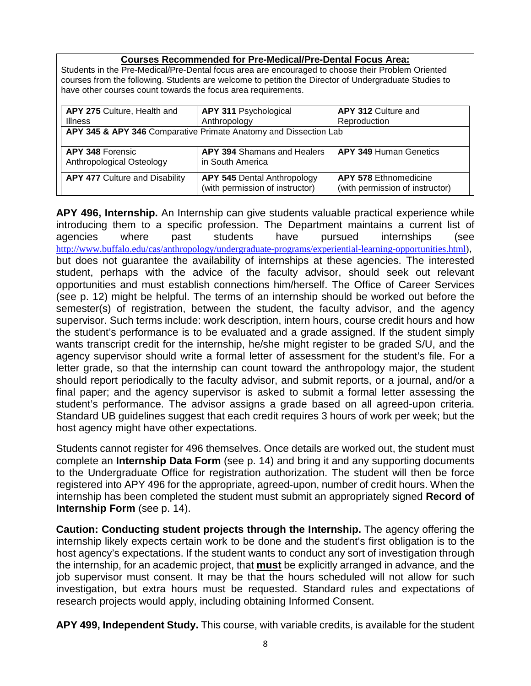#### **Courses Recommended for Pre-Medical/Pre-Dental Focus Area:**

Students in the Pre-Medical/Pre-Dental focus area are encouraged to choose their Problem Oriented courses from the following. Students are welcome to petition the Director of Undergraduate Studies to have other courses count towards the focus area requirements.

| APY 275 Culture, Health and<br><b>Illness</b>                    | APY 311 Psychological<br>Anthropology                                 | APY 312 Culture and<br>Reproduction                             |  |
|------------------------------------------------------------------|-----------------------------------------------------------------------|-----------------------------------------------------------------|--|
| APY 345 & APY 346 Comparative Primate Anatomy and Dissection Lab |                                                                       |                                                                 |  |
|                                                                  |                                                                       |                                                                 |  |
| <b>APY 348 Forensic</b><br>Anthropological Osteology             | <b>APY 394 Shamans and Healers</b><br>in South America                | <b>APY 349 Human Genetics</b>                                   |  |
| <b>APY 477 Culture and Disability</b>                            | <b>APY 545 Dental Anthropology</b><br>(with permission of instructor) | <b>APY 578 Ethnomedicine</b><br>(with permission of instructor) |  |

**APY 496, Internship.** An Internship can give students valuable practical experience while introducing them to a specific profession. The Department maintains a current list of agencies where past students have pursued internships (see [http://www.buffalo.edu/cas/anthropology/undergraduate-programs/experiential-learning-opportunities.html\)](http://www.buffalo.edu/cas/anthropology/undergraduate-programs/experiential-learning-opportunities.html), but does not guarantee the availability of internships at these agencies. The interested student, perhaps with the advice of the faculty advisor, should seek out relevant opportunities and must establish connections him/herself. The Office of Career Services (see p. 12) might be helpful. The terms of an internship should be worked out before the semester(s) of registration, between the student, the faculty advisor, and the agency supervisor. Such terms include: work description, intern hours, course credit hours and how the student's performance is to be evaluated and a grade assigned. If the student simply wants transcript credit for the internship, he/she might register to be graded S/U, and the agency supervisor should write a formal letter of assessment for the student's file. For a letter grade, so that the internship can count toward the anthropology major, the student should report periodically to the faculty advisor, and submit reports, or a journal, and/or a final paper; and the agency supervisor is asked to submit a formal letter assessing the student's performance. The advisor assigns a grade based on all agreed-upon criteria. Standard UB guidelines suggest that each credit requires 3 hours of work per week; but the host agency might have other expectations.

Students cannot register for 496 themselves. Once details are worked out, the student must complete an **Internship Data Form** (see p. 14) and bring it and any supporting documents to the Undergraduate Office for registration authorization. The student will then be force registered into APY 496 for the appropriate, agreed-upon, number of credit hours. When the internship has been completed the student must submit an appropriately signed **Record of Internship Form** (see p. 14).

**Caution: Conducting student projects through the Internship.** The agency offering the internship likely expects certain work to be done and the student's first obligation is to the host agency's expectations. If the student wants to conduct any sort of investigation through the internship, for an academic project, that **must** be explicitly arranged in advance, and the job supervisor must consent. It may be that the hours scheduled will not allow for such investigation, but extra hours must be requested. Standard rules and expectations of research projects would apply, including obtaining Informed Consent.

**APY 499, Independent Study.** This course, with variable credits, is available for the student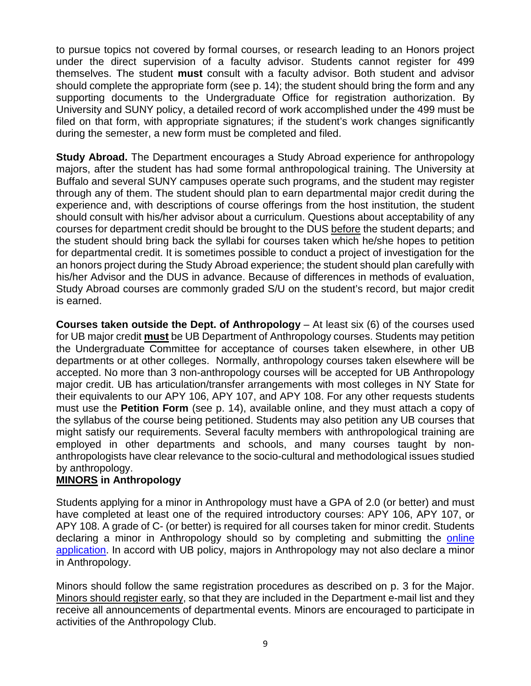to pursue topics not covered by formal courses, or research leading to an Honors project under the direct supervision of a faculty advisor. Students cannot register for 499 themselves. The student **must** consult with a faculty advisor. Both student and advisor should complete the appropriate form (see p. 14); the student should bring the form and any supporting documents to the Undergraduate Office for registration authorization. By University and SUNY policy, a detailed record of work accomplished under the 499 must be filed on that form, with appropriate signatures; if the student's work changes significantly during the semester, a new form must be completed and filed.

**Study Abroad.** The Department encourages a Study Abroad experience for anthropology majors, after the student has had some formal anthropological training. The University at Buffalo and several SUNY campuses operate such programs, and the student may register through any of them. The student should plan to earn departmental major credit during the experience and, with descriptions of course offerings from the host institution, the student should consult with his/her advisor about a curriculum. Questions about acceptability of any courses for department credit should be brought to the DUS before the student departs; and the student should bring back the syllabi for courses taken which he/she hopes to petition for departmental credit. It is sometimes possible to conduct a project of investigation for the an honors project during the Study Abroad experience; the student should plan carefully with his/her Advisor and the DUS in advance. Because of differences in methods of evaluation, Study Abroad courses are commonly graded S/U on the student's record, but major credit is earned.

**Courses taken outside the Dept. of Anthropology** – At least six (6) of the courses used for UB major credit **must** be UB Department of Anthropology courses. Students may petition the Undergraduate Committee for acceptance of courses taken elsewhere, in other UB departments or at other colleges. Normally, anthropology courses taken elsewhere will be accepted. No more than 3 non-anthropology courses will be accepted for UB Anthropology major credit. UB has articulation/transfer arrangements with most colleges in NY State for their equivalents to our APY 106, APY 107, and APY 108. For any other requests students must use the **Petition Form** (see p. 14), available online, and they must attach a copy of the syllabus of the course being petitioned. Students may also petition any UB courses that might satisfy our requirements. Several faculty members with anthropological training are employed in other departments and schools, and many courses taught by nonanthropologists have clear relevance to the socio-cultural and methodological issues studied by anthropology.

## **MINORS in Anthropology**

Students applying for a minor in Anthropology must have a GPA of 2.0 (or better) and must have completed at least one of the required introductory courses: APY 106, APY 107, or APY 108. A grade of C- (or better) is required for all courses taken for minor credit. Students declaring a minor in Anthropology should so by completing and submitting the online [application.](http://www.buffalo.edu/cas/anthropology/undergraduate-programs/minor_requirements/application-to-the-minor.html) In accord with UB policy, majors in Anthropology may not also declare a minor in Anthropology.

Minors should follow the same registration procedures as described on p. 3 for the Major. Minors should register early, so that they are included in the Department e-mail list and they receive all announcements of departmental events. Minors are encouraged to participate in activities of the Anthropology Club.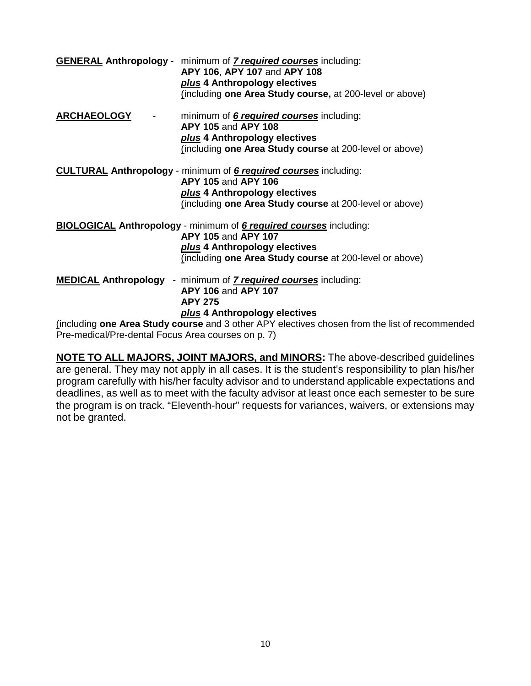|                                                    | <b>GENERAL Anthropology</b> - minimum of <b>7 required courses</b> including:<br>APY 106, APY 107 and APY 108<br>plus 4 Anthropology electives |
|----------------------------------------------------|------------------------------------------------------------------------------------------------------------------------------------------------|
|                                                    | (including one Area Study course, at 200-level or above)                                                                                       |
| <b>ARCHAEOLOGY</b>                                 | minimum of <b>6 required courses</b> including:<br>APY 105 and APY 108                                                                         |
|                                                    | plus 4 Anthropology electives                                                                                                                  |
|                                                    | (including one Area Study course at 200-level or above)                                                                                        |
|                                                    | <b>CULTURAL Anthropology</b> - minimum of <b>6 required courses</b> including:                                                                 |
|                                                    | <b>APY 105 and APY 106</b>                                                                                                                     |
|                                                    | plus 4 Anthropology electives                                                                                                                  |
|                                                    | (including one Area Study course at 200-level or above)                                                                                        |
|                                                    | <b>BIOLOGICAL Anthropology</b> - minimum of <b>6 required courses</b> including:                                                               |
|                                                    | <b>APY 105 and APY 107</b>                                                                                                                     |
|                                                    | plus 4 Anthropology electives                                                                                                                  |
|                                                    | (including one Area Study course at 200-level or above)                                                                                        |
|                                                    | <b>MEDICAL Anthropology</b> - minimum of <b>7 required courses</b> including:                                                                  |
|                                                    | <b>APY 106 and APY 107</b>                                                                                                                     |
|                                                    | <b>APY 275</b>                                                                                                                                 |
|                                                    | plus 4 Anthropology electives                                                                                                                  |
|                                                    | (including one Area Study course and 3 other APY electives chosen from the list of recommended                                                 |
| Pre-medical/Pre-dental Focus Area courses on p. 7) |                                                                                                                                                |

**NOTE TO ALL MAJORS, JOINT MAJORS, and MINORS:** The above-described guidelines are general. They may not apply in all cases. It is the student's responsibility to plan his/her program carefully with his/her faculty advisor and to understand applicable expectations and deadlines, as well as to meet with the faculty advisor at least once each semester to be sure the program is on track. "Eleventh-hour" requests for variances, waivers, or extensions may not be granted.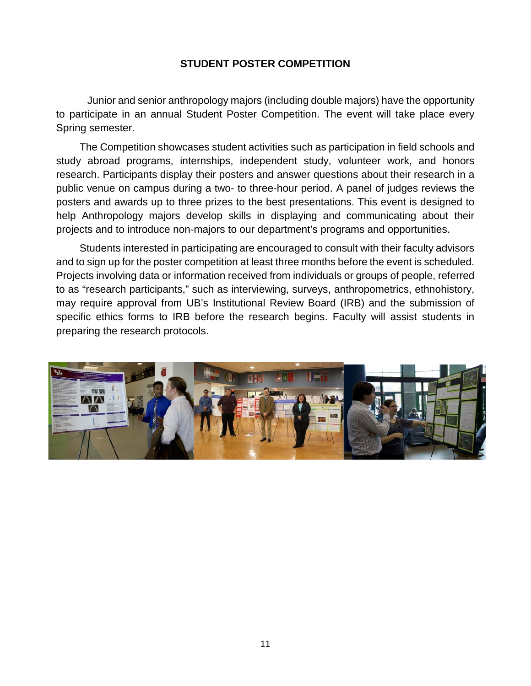## **STUDENT POSTER COMPETITION**

Junior and senior anthropology majors (including double majors) have the opportunity to participate in an annual Student Poster Competition. The event will take place every Spring semester.

The Competition showcases student activities such as participation in field schools and study abroad programs, internships, independent study, volunteer work, and honors research. Participants display their posters and answer questions about their research in a public venue on campus during a two- to three-hour period. A panel of judges reviews the posters and awards up to three prizes to the best presentations. This event is designed to help Anthropology majors develop skills in displaying and communicating about their projects and to introduce non-majors to our department's programs and opportunities.

Students interested in participating are encouraged to consult with their faculty advisors and to sign up for the poster competition at least three months before the event is scheduled. Projects involving data or information received from individuals or groups of people, referred to as "research participants," such as interviewing, surveys, anthropometrics, ethnohistory, may require approval from UB's Institutional Review Board (IRB) and the submission of specific ethics forms to IRB before the research begins. Faculty will assist students in preparing the research protocols.

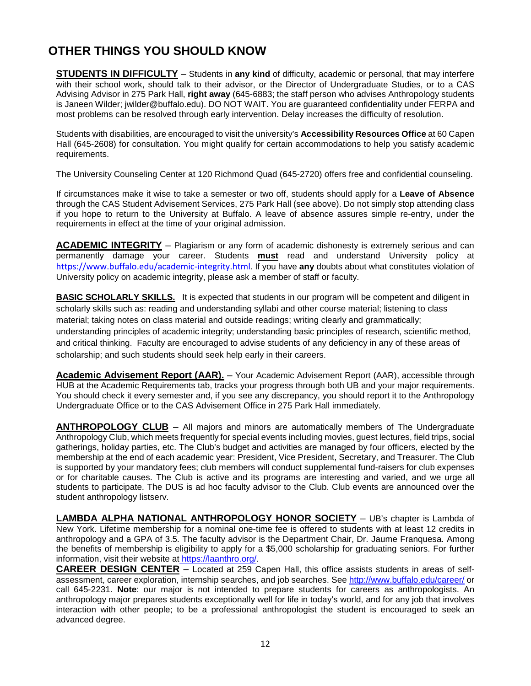## **OTHER THINGS YOU SHOULD KNOW**

**STUDENTS IN DIFFICULTY** – Students in **any kind** of difficulty, academic or personal, that may interfere with their school work, should talk to their advisor, or the Director of Undergraduate Studies, or to a CAS Advising Advisor in 275 Park Hall, **right away** (645-6883; the staff person who advises Anthropology students is Janeen Wilder; jwilder@buffalo.edu). DO NOT WAIT. You are guaranteed confidentiality under FERPA and most problems can be resolved through early intervention. Delay increases the difficulty of resolution.

Students with disabilities, are encouraged to visit the university's **Accessibility Resources Office** at 60 Capen Hall (645-2608) for consultation. You might qualify for certain accommodations to help you satisfy academic requirements.

The University Counseling Center at 120 Richmond Quad (645-2720) offers free and confidential counseling.

If circumstances make it wise to take a semester or two off, students should apply for a **Leave of Absence** through the CAS Student Advisement Services, 275 Park Hall (see above). Do not simply stop attending class if you hope to return to the University at Buffalo. A leave of absence assures simple re-entry, under the requirements in effect at the time of your original admission.

**ACADEMIC INTEGRITY** – Plagiarism or any form of academic dishonesty is extremely serious and can permanently damage your career. Students **must** read and understand University policy at <https://www.buffalo.edu/academic-integrity.html>. If you have **any** doubts about what constitutes violation of University policy on academic integrity, please ask a member of staff or faculty.

**BASIC SCHOLARLY SKILLS.** It is expected that students in our program will be competent and diligent in scholarly skills such as: reading and understanding syllabi and other course material; listening to class material; taking notes on class material and outside readings; writing clearly and grammatically; understanding principles of academic integrity; understanding basic principles of research, scientific method, and critical thinking. Faculty are encouraged to advise students of any deficiency in any of these areas of scholarship; and such students should seek help early in their careers.

**Academic Advisement Report (AAR).** – Your Academic Advisement Report (AAR), accessible through HUB at the Academic Requirements tab, tracks your progress through both UB and your major requirements. You should check it every semester and, if you see any discrepancy, you should report it to the Anthropology Undergraduate Office or to the CAS Advisement Office in 275 Park Hall immediately.

**ANTHROPOLOGY CLUB** – All majors and minors are automatically members of The Undergraduate Anthropology Club, which meets frequently for special events including movies, guest lectures, field trips, social gatherings, holiday parties, etc. The Club's budget and activities are managed by four officers, elected by the membership at the end of each academic year: President, Vice President, Secretary, and Treasurer. The Club is supported by your mandatory fees; club members will conduct supplemental fund-raisers for club expenses or for charitable causes. The Club is active and its programs are interesting and varied, and we urge all students to participate. The DUS is ad hoc faculty advisor to the Club. Club events are announced over the student anthropology listserv.

**LAMBDA ALPHA NATIONAL ANTHROPOLOGY HONOR SOCIETY** – UB's chapter is Lambda of New York. Lifetime membership for a nominal one-time fee is offered to students with at least 12 credits in anthropology and a GPA of 3.5. The faculty advisor is the Department Chair, Dr. Jaume Franquesa. Among the benefits of membership is eligibility to apply for a \$5,000 scholarship for graduating seniors. For further information, visit their website at https://laanthro.org/.

**CAREER DESIGN CENTER** – Located at 259 Capen Hall, this office assists students in areas of selfassessment, career exploration, internship searches, and job searches. See <http://www.buffalo.edu/career/> or call 645-2231. **Note**: our major is not intended to prepare students for careers as anthropologists. An anthropology major prepares students exceptionally well for life in today's world, and for any job that involves interaction with other people; to be a professional anthropologist the student is encouraged to seek an advanced degree.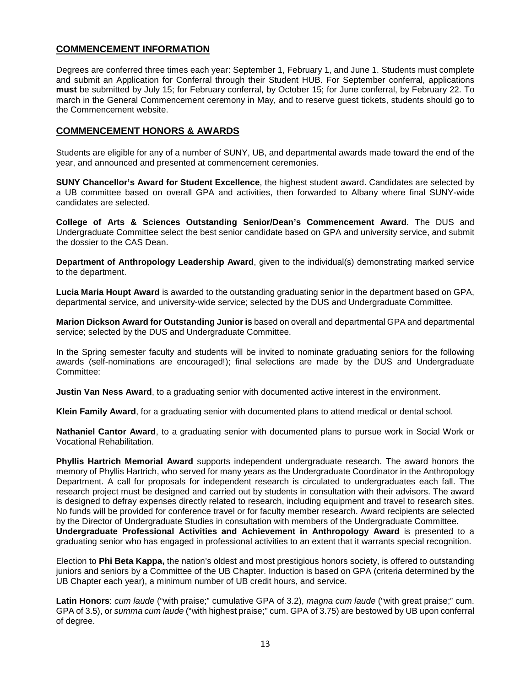#### **COMMENCEMENT INFORMATION**

Degrees are conferred three times each year: September 1, February 1, and June 1. Students must complete and submit an Application for Conferral through their Student HUB. For September conferral, applications **must** be submitted by July 15; for February conferral, by October 15; for June conferral, by February 22. To march in the General Commencement ceremony in May, and to reserve guest tickets, students should go to the Commencement website.

#### **COMMENCEMENT HONORS & AWARDS**

Students are eligible for any of a number of SUNY, UB, and departmental awards made toward the end of the year, and announced and presented at commencement ceremonies.

**SUNY Chancellor's Award for Student Excellence**, the highest student award. Candidates are selected by a UB committee based on overall GPA and activities, then forwarded to Albany where final SUNY-wide candidates are selected.

**College of Arts & Sciences Outstanding Senior/Dean's Commencement Award**. The DUS and Undergraduate Committee select the best senior candidate based on GPA and university service, and submit the dossier to the CAS Dean.

**Department of Anthropology Leadership Award**, given to the individual(s) demonstrating marked service to the department.

**Lucia Maria Houpt Award** is awarded to the outstanding graduating senior in the department based on GPA, departmental service, and university-wide service; selected by the DUS and Undergraduate Committee.

**Marion Dickson Award for Outstanding Junior is** based on overall and departmental GPA and departmental service; selected by the DUS and Undergraduate Committee.

In the Spring semester faculty and students will be invited to nominate graduating seniors for the following awards (self-nominations are encouraged!); final selections are made by the DUS and Undergraduate Committee:

**Justin Van Ness Award**, to a graduating senior with documented active interest in the environment.

**Klein Family Award**, for a graduating senior with documented plans to attend medical or dental school.

**Nathaniel Cantor Award**, to a graduating senior with documented plans to pursue work in Social Work or Vocational Rehabilitation.

**Phyllis Hartrich Memorial Award** supports independent undergraduate research. The award honors the memory of Phyllis Hartrich, who served for many years as the Undergraduate Coordinator in the Anthropology Department. A call for proposals for independent research is circulated to undergraduates each fall. The research project must be designed and carried out by students in consultation with their advisors. The award is designed to defray expenses directly related to research, including equipment and travel to research sites. No funds will be provided for conference travel or for faculty member research. Award recipients are selected by the Director of Undergraduate Studies in consultation with members of the Undergraduate Committee. **Undergraduate Professional Activities and Achievement in Anthropology Award** is presented to a graduating senior who has engaged in professional activities to an extent that it warrants special recognition.

Election to **Phi Beta Kappa,** the nation's oldest and most prestigious honors society, is offered to outstanding juniors and seniors by a Committee of the UB Chapter. Induction is based on GPA (criteria determined by the UB Chapter each year), a minimum number of UB credit hours, and service.

**Latin Honors**: *cum laude* ("with praise;" cumulative GPA of 3.2), *magna cum laude* ("with great praise;" cum. GPA of 3.5), or *summa cum laude* ("with highest praise;" cum. GPA of 3.75) are bestowed by UB upon conferral of degree.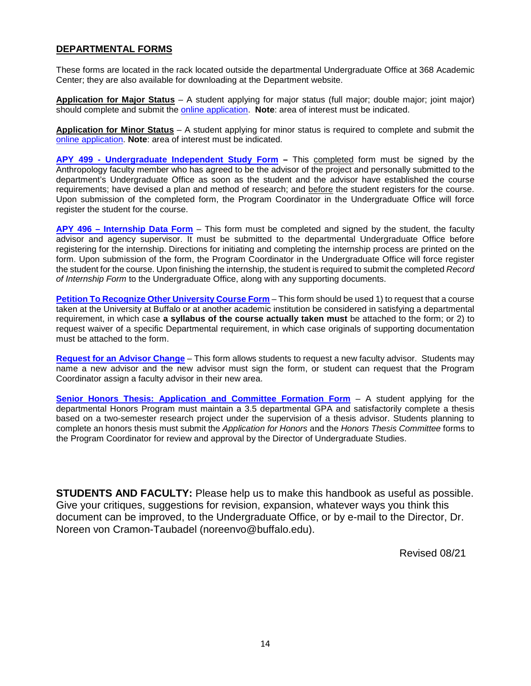#### **DEPARTMENTAL FORMS**

These forms are located in the rack located outside the departmental Undergraduate Office at 368 Academic Center; they are also available for downloading at the Department website.

**Application for Major Status** – A student applying for major status (full major; double major; joint major) should complete and submit the [online application.](http://www.buffalo.edu/cas/anthropology/undergraduate-programs/major_requirements/application-to-the-major.html) **Note**: area of interest must be indicated.

**Application for Minor Status** – A student applying for minor status is required to complete and submit the [online application.](http://www.buffalo.edu/cas/anthropology/undergraduate-programs/minor_requirements/application-to-the-minor.html) **Note**: area of interest must be indicated.

**APY 499 - [Undergraduate Independent Study Form](http://www.buffalo.edu/content/dam/cas/anthropology/anthroforms/APY%20496%20-%20Independent%20Study%20Form.pdf) –** This completed form must be signed by the Anthropology faculty member who has agreed to be the advisor of the project and personally submitted to the department's Undergraduate Office as soon as the student and the advisor have established the course requirements; have devised a plan and method of research; and before the student registers for the course. Upon submission of the completed form, the Program Coordinator in the Undergraduate Office will force register the student for the course.

**APY 496 – [Internship Data Form](http://www.buffalo.edu/content/dam/cas/anthropology/anthroforms/APY%20496%20-%20Record%20of%20Internship%20Form.pdf)** – This form must be completed and signed by the student, the faculty advisor and agency supervisor. It must be submitted to the departmental Undergraduate Office before registering for the internship. Directions for initiating and completing the internship process are printed on the form. Upon submission of the form, the Program Coordinator in the Undergraduate Office will force register the student for the course. Upon finishing the internship, the student is required to submit the completed *Record of Internship Form* to the Undergraduate Office, along with any supporting documents.

**Petition [To Recognize Other University Course](http://www.buffalo.edu/content/dam/cas/anthropology/anthroforms/Petition%20to%20Recognize%20Other%20Uni%20Course.pdf) Form** – This form should be used 1) to request that a course taken at the University at Buffalo or at another academic institution be considered in satisfying a departmental requirement, in which case **a syllabus of the course actually taken must** be attached to the form; or 2) to request waiver of a specific Departmental requirement, in which case originals of supporting documentation must be attached to the form.

**[Request for an Advisor Change](http://www.buffalo.edu/content/dam/cas/anthropology/anthroforms/Request%20for%20a%20change%20of%20advisor%20Form.pdf)** – This form allows students to request a new faculty advisor. Students may name a new advisor and the new advisor must sign the form, or student can request that the Program Coordinator assign a faculty advisor in their new area.

**[Senior Honors Thesis: Application](http://www.buffalo.edu/cas/anthropology/undergraduate-programs/advisement/forms.html) and Committee Formation Form** – A student applying for the departmental Honors Program must maintain a 3.5 departmental GPA and satisfactorily complete a thesis based on a two-semester research project under the supervision of a thesis advisor. Students planning to complete an honors thesis must submit the *Application for Honors* and the *Honors Thesis Committee* forms to the Program Coordinator for review and approval by the Director of Undergraduate Studies.

**STUDENTS AND FACULTY:** Please help us to make this handbook as useful as possible. Give your critiques, suggestions for revision, expansion, whatever ways you think this document can be improved, to the Undergraduate Office, or by e-mail to the Director, Dr. Noreen von Cramon-Taubadel (noreenvo@buffalo.edu).

Revised 08/21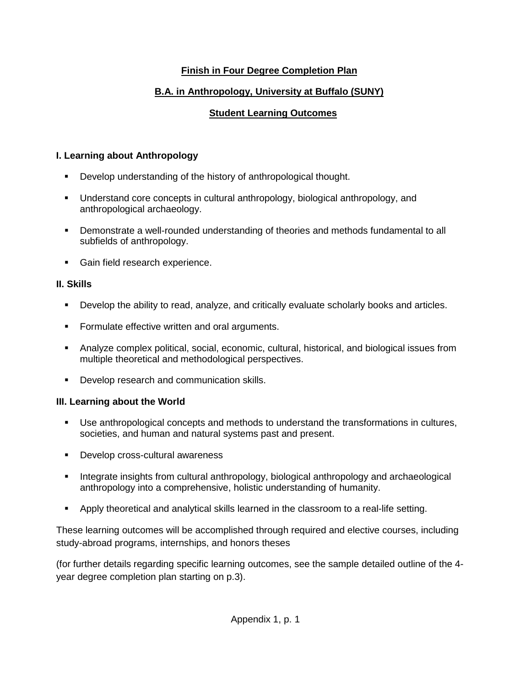## **Finish in Four Degree Completion Plan**

## **B.A. in Anthropology, University at Buffalo (SUNY)**

## **Student Learning Outcomes**

## **I. Learning about Anthropology**

- **Develop understanding of the history of anthropological thought.**
- Understand core concepts in cultural anthropology, biological anthropology, and anthropological archaeology.
- Demonstrate a well-rounded understanding of theories and methods fundamental to all subfields of anthropology.
- **Gain field research experience.**

## **II. Skills**

- Develop the ability to read, analyze, and critically evaluate scholarly books and articles.
- **Formulate effective written and oral arguments.**
- Analyze complex political, social, economic, cultural, historical, and biological issues from multiple theoretical and methodological perspectives.
- **•** Develop research and communication skills.

#### **III. Learning about the World**

- Use anthropological concepts and methods to understand the transformations in cultures, societies, and human and natural systems past and present.
- **Develop cross-cultural awareness**
- Integrate insights from cultural anthropology, biological anthropology and archaeological anthropology into a comprehensive, holistic understanding of humanity.
- Apply theoretical and analytical skills learned in the classroom to a real-life setting.

These learning outcomes will be accomplished through required and elective courses, including study-abroad programs, internships, and honors theses

(for further details regarding specific learning outcomes, see the sample detailed outline of the 4 year degree completion plan starting on p.3).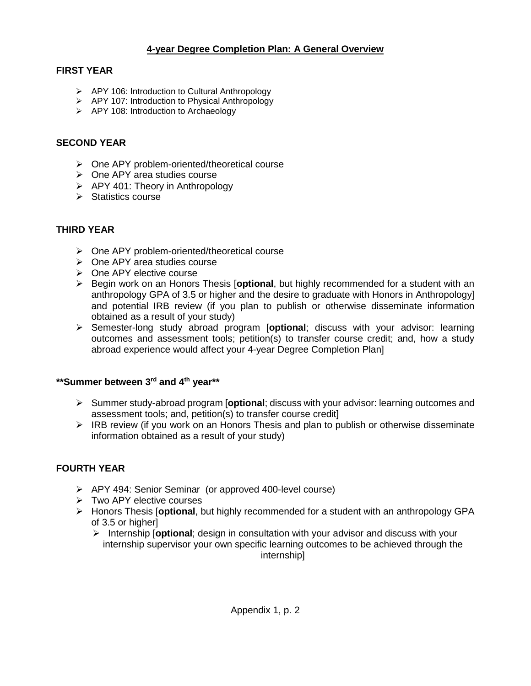### **4-year Degree Completion Plan: A General Overview**

#### **FIRST YEAR**

- ▶ APY 106: Introduction to Cultural Anthropology
- APY 107: Introduction to Physical Anthropology
- APY 108: Introduction to Archaeology

### **SECOND YEAR**

- $\triangleright$  One APY problem-oriented/theoretical course
- One APY area studies course
- $\triangleright$  APY 401: Theory in Anthropology
- $\triangleright$  Statistics course

#### **THIRD YEAR**

- One APY problem-oriented/theoretical course
- One APY area studies course
- $\triangleright$  One APY elective course
- **►** Begin work on an Honors Thesis [**optional**, but highly recommended for a student with an anthropology GPA of 3.5 or higher and the desire to graduate with Honors in Anthropology] and potential IRB review (if you plan to publish or otherwise disseminate information obtained as a result of your study)
- Semester-long study abroad program [**optional**; discuss with your advisor: learning outcomes and assessment tools; petition(s) to transfer course credit; and, how a study abroad experience would affect your 4-year Degree Completion Plan]

#### **\*\*Summer between 3rd and 4th year\*\***

- Summer study-abroad program [**optional**; discuss with your advisor: learning outcomes and assessment tools; and, petition(s) to transfer course credit]
- $\triangleright$  IRB review (if you work on an Honors Thesis and plan to publish or otherwise disseminate information obtained as a result of your study)

#### **FOURTH YEAR**

- APY 494: Senior Seminar (or approved 400-level course)
- $\triangleright$  Two APY elective courses
- Honors Thesis [**optional**, but highly recommended for a student with an anthropology GPA of 3.5 or higher]
	- Internship [**optional**; design in consultation with your advisor and discuss with your internship supervisor your own specific learning outcomes to be achieved through the internship]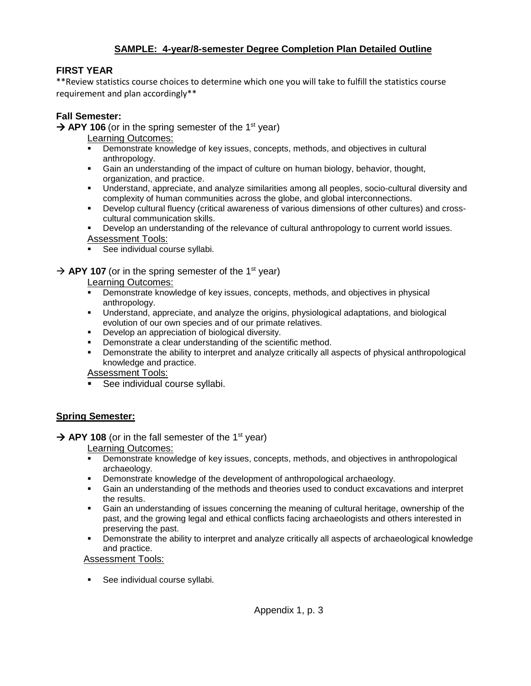### **SAMPLE: 4-year/8-semester Degree Completion Plan Detailed Outline**

#### **FIRST YEAR**

\*\*Review statistics course choices to determine which one you will take to fulfill the statistics course requirement and plan accordingly\*\*

### **Fall Semester:**

 $\rightarrow$  APY 106 (or in the spring semester of the 1<sup>st</sup> year)

- Learning Outcomes:
- Demonstrate knowledge of key issues, concepts, methods, and objectives in cultural anthropology.
- Gain an understanding of the impact of culture on human biology, behavior, thought, organization, and practice.
- Understand, appreciate, and analyze similarities among all peoples, socio-cultural diversity and complexity of human communities across the globe, and global interconnections.
- Develop cultural fluency (critical awareness of various dimensions of other cultures) and crosscultural communication skills.
- Develop an understanding of the relevance of cultural anthropology to current world issues.
- Assessment Tools:
- See individual course syllabi.

#### $\rightarrow$  APY 107 (or in the spring semester of the 1<sup>st</sup> year)

Learning Outcomes:

- Demonstrate knowledge of key issues, concepts, methods, and objectives in physical anthropology.
- Understand, appreciate, and analyze the origins, physiological adaptations, and biological evolution of our own species and of our primate relatives.
- Develop an appreciation of biological diversity.
- Demonstrate a clear understanding of the scientific method.
- Demonstrate the ability to interpret and analyze critically all aspects of physical anthropological knowledge and practice.

Assessment Tools:

See individual course syllabi.

#### **Spring Semester:**

#### $\rightarrow$  APY 108 (or in the fall semester of the 1<sup>st</sup> year)

Learning Outcomes:

- Demonstrate knowledge of key issues, concepts, methods, and objectives in anthropological archaeology.
- Demonstrate knowledge of the development of anthropological archaeology.
- Gain an understanding of the methods and theories used to conduct excavations and interpret the results.
- Gain an understanding of issues concerning the meaning of cultural heritage, ownership of the past, and the growing legal and ethical conflicts facing archaeologists and others interested in preserving the past.
- Demonstrate the ability to interpret and analyze critically all aspects of archaeological knowledge and practice.

Assessment Tools:

• See individual course syllabi.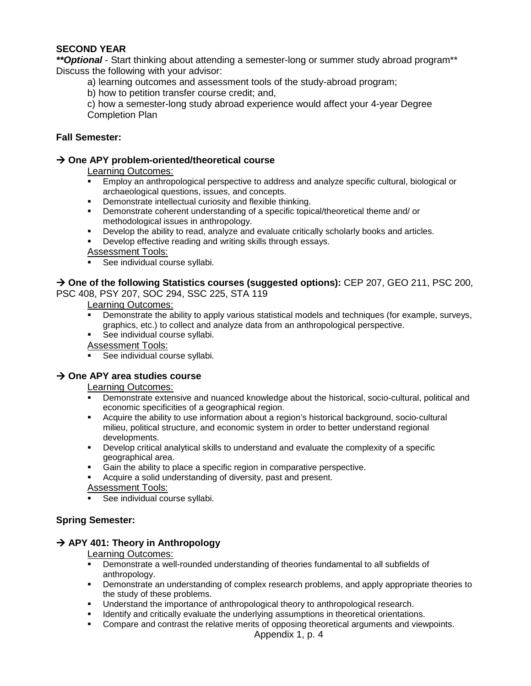#### **SECOND YEAR**

*\*\*Optional* - Start thinking about attending a semester-long or summer study abroad program\*\* Discuss the following with your advisor:

a) learning outcomes and assessment tools of the study-abroad program;

b) how to petition transfer course credit; and,

c) how a semester-long study abroad experience would affect your 4-year Degree Completion Plan

#### **Fall Semester:**

#### **One APY problem-oriented/theoretical course**

#### Learning Outcomes:

- Employ an anthropological perspective to address and analyze specific cultural, biological or archaeological questions, issues, and concepts.
- Demonstrate intellectual curiosity and flexible thinking.
- Demonstrate coherent understanding of a specific topical/theoretical theme and/ or methodological issues in anthropology.
- Develop the ability to read, analyze and evaluate critically scholarly books and articles.
- Develop effective reading and writing skills through essays.

#### **Assessment Tools:**

See individual course syllabi.

→ One of the following Statistics courses (suggested options): CEP 207, GEO 211, PSC 200,

PSC 408, PSY 207, SOC 294, SSC 225, STA 119

#### Learning Outcomes:

- Demonstrate the ability to apply various statistical models and techniques (for example, surveys, graphics, etc.) to collect and analyze data from an anthropological perspective.
- See individual course syllabi.

#### Assessment Tools:

See individual course syllabi.

#### **→ One APY area studies course**

#### Learning Outcomes:

- Demonstrate extensive and nuanced knowledge about the historical, socio-cultural, political and economic specificities of a geographical region.
- Acquire the ability to use information about a region's historical background, socio-cultural milieu, political structure, and economic system in order to better understand regional developments.
- Develop critical analytical skills to understand and evaluate the complexity of a specific geographical area.
- Gain the ability to place a specific region in comparative perspective.
- Acquire a solid understanding of diversity, past and present.

#### Assessment Tools:

See individual course syllabi.

#### **Spring Semester:**

#### **→ APY 401: Theory in Anthropology**

#### Learning Outcomes:

- Demonstrate a well-rounded understanding of theories fundamental to all subfields of anthropology.
- **•** Demonstrate an understanding of complex research problems, and apply appropriate theories to the study of these problems.
- **Understand the importance of anthropological theory to anthropological research.**
- Identify and critically evaluate the underlying assumptions in theoretical orientations.
- Compare and contrast the relative merits of opposing theoretical arguments and viewpoints.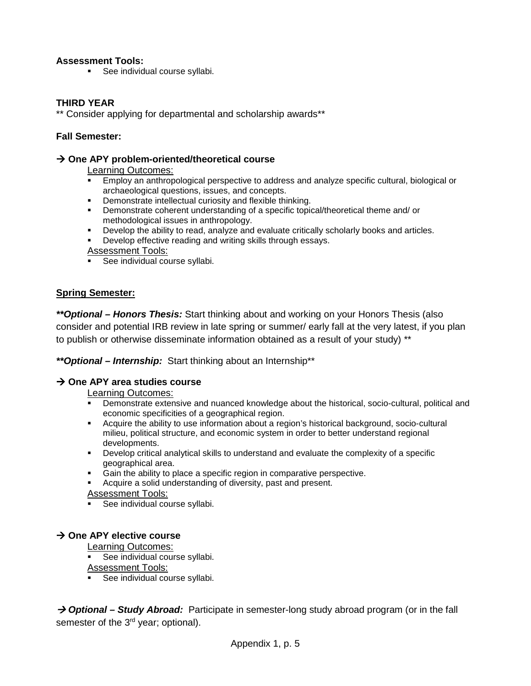#### **Assessment Tools:**

• See individual course syllabi.

#### **THIRD YEAR**

\*\* Consider applying for departmental and scholarship awards\*\*

#### **Fall Semester:**

#### **One APY problem-oriented/theoretical course**

Learning Outcomes:

- Employ an anthropological perspective to address and analyze specific cultural, biological or archaeological questions, issues, and concepts.
- **•** Demonstrate intellectual curiosity and flexible thinking.
- Demonstrate coherent understanding of a specific topical/theoretical theme and/ or methodological issues in anthropology.
- Develop the ability to read, analyze and evaluate critically scholarly books and articles.
- Develop effective reading and writing skills through essays.

Assessment Tools:

See individual course syllabi.

#### **Spring Semester:**

*\*\*Optional – Honors Thesis:* Start thinking about and working on your Honors Thesis (also consider and potential IRB review in late spring or summer/ early fall at the very latest, if you plan to publish or otherwise disseminate information obtained as a result of your study) \*\*

*\*\*Optional – Internship:* Start thinking about an Internship\*\*

#### **→ One APY area studies course**

Learning Outcomes:

- Demonstrate extensive and nuanced knowledge about the historical, socio-cultural, political and economic specificities of a geographical region.
- Acquire the ability to use information about a region's historical background, socio-cultural milieu, political structure, and economic system in order to better understand regional developments.
- Develop critical analytical skills to understand and evaluate the complexity of a specific geographical area.
- Gain the ability to place a specific region in comparative perspective.
- Acquire a solid understanding of diversity, past and present.

Assessment Tools:

See individual course syllabi.

#### **→ One APY elective course**

Learning Outcomes:

See individual course syllabi.

Assessment Tools:

See individual course syllabi.

→ **Optional – Study Abroad:** Participate in semester-long study abroad program (or in the fall semester of the 3<sup>rd</sup> year; optional).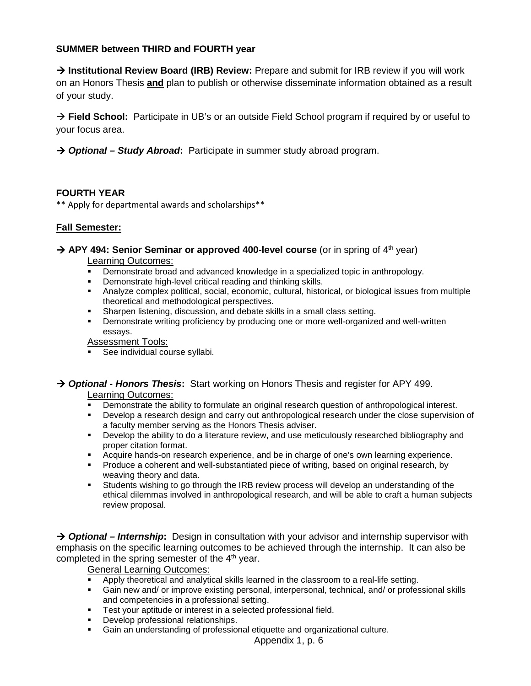#### **SUMMER between THIRD and FOURTH year**

**→ Institutional Review Board (IRB) Review:** Prepare and submit for IRB review if you will work on an Honors Thesis **and** plan to publish or otherwise disseminate information obtained as a result of your study.

**Field School:** Participate in UB's or an outside Field School program if required by or useful to your focus area.

*Optional – Study Abroad***:** Participate in summer study abroad program.

#### **FOURTH YEAR**

\*\* Apply for departmental awards and scholarships\*\*

#### **Fall Semester:**

## **→ APY 494: Senior Seminar or approved 400-level course** (or in spring of 4<sup>th</sup> year)

Learning Outcomes:

- Demonstrate broad and advanced knowledge in a specialized topic in anthropology.
- Demonstrate high-level critical reading and thinking skills.
- Analyze complex political, social, economic, cultural, historical, or biological issues from multiple theoretical and methodological perspectives.
- Sharpen listening, discussion, and debate skills in a small class setting.
- Demonstrate writing proficiency by producing one or more well-organized and well-written essays.

Assessment Tools:

See individual course syllabi.

## *Optional - Honors Thesis***:** Start working on Honors Thesis and register for APY 499.

Learning Outcomes:

- Demonstrate the ability to formulate an original research question of anthropological interest.
- Develop a research design and carry out anthropological research under the close supervision of a faculty member serving as the Honors Thesis adviser.
- **•** Develop the ability to do a literature review, and use meticulously researched bibliography and proper citation format.
- Acquire hands-on research experience, and be in charge of one's own learning experience.
- **Produce a coherent and well-substantiated piece of writing, based on original research, by** weaving theory and data.
- Students wishing to go through the IRB review process will develop an understanding of the ethical dilemmas involved in anthropological research, and will be able to craft a human subjects review proposal.

 *Optional – Internship***:** Design in consultation with your advisor and internship supervisor with emphasis on the specific learning outcomes to be achieved through the internship. It can also be completed in the spring semester of the  $4<sup>th</sup>$  year.

#### General Learning Outcomes:

- Apply theoretical and analytical skills learned in the classroom to a real-life setting.
- Gain new and/ or improve existing personal, interpersonal, technical, and/ or professional skills and competencies in a professional setting.
- Test your aptitude or interest in a selected professional field.
- Develop professional relationships.
- Gain an understanding of professional etiquette and organizational culture.

Appendix 1, p. 6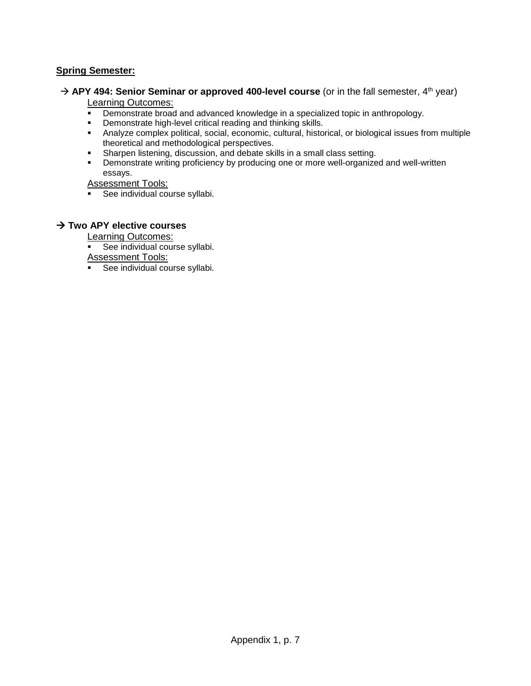#### **Spring Semester:**

→ APY 494: Senior Seminar or approved 400-level course (or in the fall semester, 4<sup>th</sup> year)

#### Learning Outcomes:

- Demonstrate broad and advanced knowledge in a specialized topic in anthropology.<br>Demonstrate bigh-lovel critical reading and thinking skills
- Demonstrate high-level critical reading and thinking skills.
- Analyze complex political, social, economic, cultural, historical, or biological issues from multiple theoretical and methodological perspectives.
- Sharpen listening, discussion, and debate skills in a small class setting.
- Demonstrate writing proficiency by producing one or more well-organized and well-written essays.

Assessment Tools:

See individual course syllabi.

#### **Two APY elective courses**

Learning Outcomes:

See individual course syllabi.

Assessment Tools:

**See individual course syllabi.**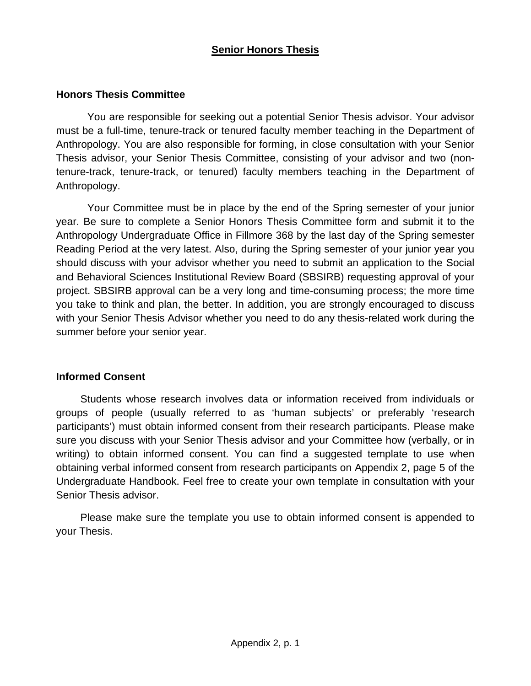## **Senior Honors Thesis**

## **Honors Thesis Committee**

You are responsible for seeking out a potential Senior Thesis advisor. Your advisor must be a full-time, tenure-track or tenured faculty member teaching in the Department of Anthropology. You are also responsible for forming, in close consultation with your Senior Thesis advisor, your Senior Thesis Committee, consisting of your advisor and two (nontenure-track, tenure-track, or tenured) faculty members teaching in the Department of Anthropology.

Your Committee must be in place by the end of the Spring semester of your junior year. Be sure to complete a Senior Honors Thesis Committee form and submit it to the Anthropology Undergraduate Office in Fillmore 368 by the last day of the Spring semester Reading Period at the very latest. Also, during the Spring semester of your junior year you should discuss with your advisor whether you need to submit an application to the Social and Behavioral Sciences Institutional Review Board (SBSIRB) requesting approval of your project. SBSIRB approval can be a very long and time-consuming process; the more time you take to think and plan, the better. In addition, you are strongly encouraged to discuss with your Senior Thesis Advisor whether you need to do any thesis-related work during the summer before your senior year.

#### **Informed Consent**

Students whose research involves data or information received from individuals or groups of people (usually referred to as 'human subjects' or preferably 'research participants') must obtain informed consent from their research participants. Please make sure you discuss with your Senior Thesis advisor and your Committee how (verbally, or in writing) to obtain informed consent. You can find a suggested template to use when obtaining verbal informed consent from research participants on Appendix 2, page 5 of the Undergraduate Handbook. Feel free to create your own template in consultation with your Senior Thesis advisor.

Please make sure the template you use to obtain informed consent is appended to your Thesis.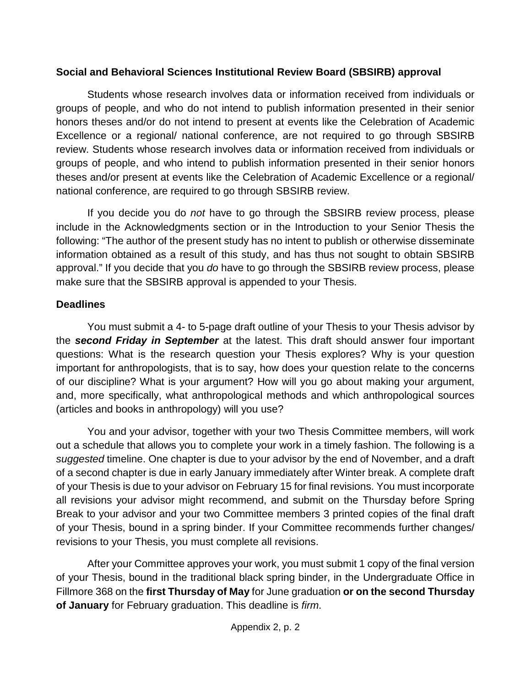## **Social and Behavioral Sciences Institutional Review Board (SBSIRB) approval**

Students whose research involves data or information received from individuals or groups of people, and who do not intend to publish information presented in their senior honors theses and/or do not intend to present at events like the Celebration of Academic Excellence or a regional/ national conference, are not required to go through SBSIRB review. Students whose research involves data or information received from individuals or groups of people, and who intend to publish information presented in their senior honors theses and/or present at events like the Celebration of Academic Excellence or a regional/ national conference, are required to go through SBSIRB review.

If you decide you do *not* have to go through the SBSIRB review process, please include in the Acknowledgments section or in the Introduction to your Senior Thesis the following: "The author of the present study has no intent to publish or otherwise disseminate information obtained as a result of this study, and has thus not sought to obtain SBSIRB approval." If you decide that you *do* have to go through the SBSIRB review process, please make sure that the SBSIRB approval is appended to your Thesis.

## **Deadlines**

You must submit a 4- to 5-page draft outline of your Thesis to your Thesis advisor by the *second Friday in September* at the latest. This draft should answer four important questions: What is the research question your Thesis explores? Why is your question important for anthropologists, that is to say, how does your question relate to the concerns of our discipline? What is your argument? How will you go about making your argument, and, more specifically, what anthropological methods and which anthropological sources (articles and books in anthropology) will you use?

You and your advisor, together with your two Thesis Committee members, will work out a schedule that allows you to complete your work in a timely fashion. The following is a *suggested* timeline. One chapter is due to your advisor by the end of November, and a draft of a second chapter is due in early January immediately after Winter break. A complete draft of your Thesis is due to your advisor on February 15 for final revisions. You must incorporate all revisions your advisor might recommend, and submit on the Thursday before Spring Break to your advisor and your two Committee members 3 printed copies of the final draft of your Thesis, bound in a spring binder. If your Committee recommends further changes/ revisions to your Thesis, you must complete all revisions.

After your Committee approves your work, you must submit 1 copy of the final version of your Thesis, bound in the traditional black spring binder, in the Undergraduate Office in Fillmore 368 on the **first Thursday of May** for June graduation **or on the second Thursday of January** for February graduation. This deadline is *firm*.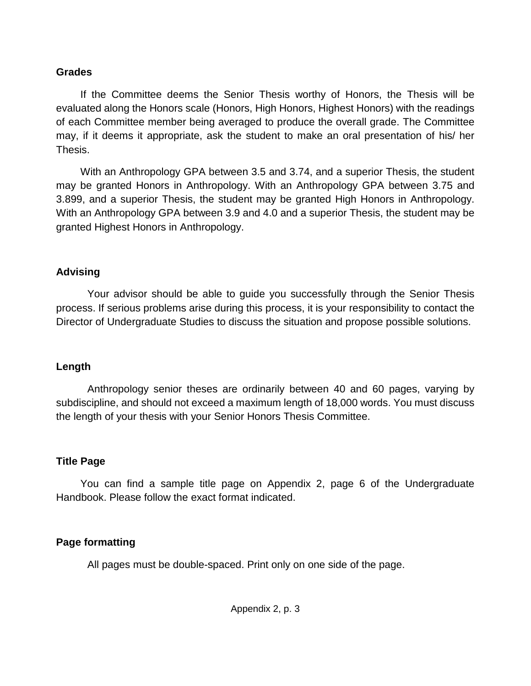## **Grades**

If the Committee deems the Senior Thesis worthy of Honors, the Thesis will be evaluated along the Honors scale (Honors, High Honors, Highest Honors) with the readings of each Committee member being averaged to produce the overall grade. The Committee may, if it deems it appropriate, ask the student to make an oral presentation of his/ her Thesis.

With an Anthropology GPA between 3.5 and 3.74, and a superior Thesis, the student may be granted Honors in Anthropology. With an Anthropology GPA between 3.75 and 3.899, and a superior Thesis, the student may be granted High Honors in Anthropology. With an Anthropology GPA between 3.9 and 4.0 and a superior Thesis, the student may be granted Highest Honors in Anthropology.

## **Advising**

Your advisor should be able to guide you successfully through the Senior Thesis process. If serious problems arise during this process, it is your responsibility to contact the Director of Undergraduate Studies to discuss the situation and propose possible solutions.

## **Length**

Anthropology senior theses are ordinarily between 40 and 60 pages, varying by subdiscipline, and should not exceed a maximum length of 18,000 words. You must discuss the length of your thesis with your Senior Honors Thesis Committee.

## **Title Page**

You can find a sample title page on Appendix 2, page 6 of the Undergraduate Handbook. Please follow the exact format indicated.

## **Page formatting**

All pages must be double-spaced. Print only on one side of the page.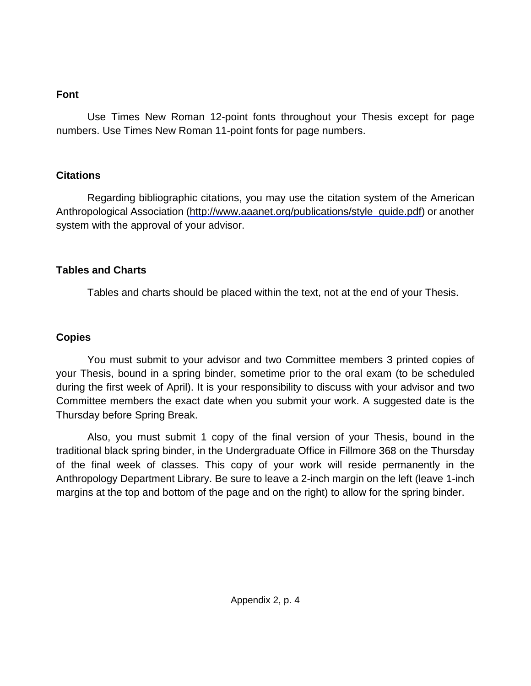## **Font**

Use Times New Roman 12-point fonts throughout your Thesis except for page numbers. Use Times New Roman 11-point fonts for page numbers.

## **Citations**

Regarding bibliographic citations, you may use the citation system of the American Anthropological Association [\(http://www.aaanet.org/publications/style\\_guide.pdf\)](http://www.aaanet.org/publications/style_guide.pdf) or another system with the approval of your advisor.

## **Tables and Charts**

Tables and charts should be placed within the text, not at the end of your Thesis.

## **Copies**

You must submit to your advisor and two Committee members 3 printed copies of your Thesis, bound in a spring binder, sometime prior to the oral exam (to be scheduled during the first week of April). It is your responsibility to discuss with your advisor and two Committee members the exact date when you submit your work. A suggested date is the Thursday before Spring Break.

Also, you must submit 1 copy of the final version of your Thesis, bound in the traditional black spring binder, in the Undergraduate Office in Fillmore 368 on the Thursday of the final week of classes. This copy of your work will reside permanently in the Anthropology Department Library. Be sure to leave a 2-inch margin on the left (leave 1-inch margins at the top and bottom of the page and on the right) to allow for the spring binder.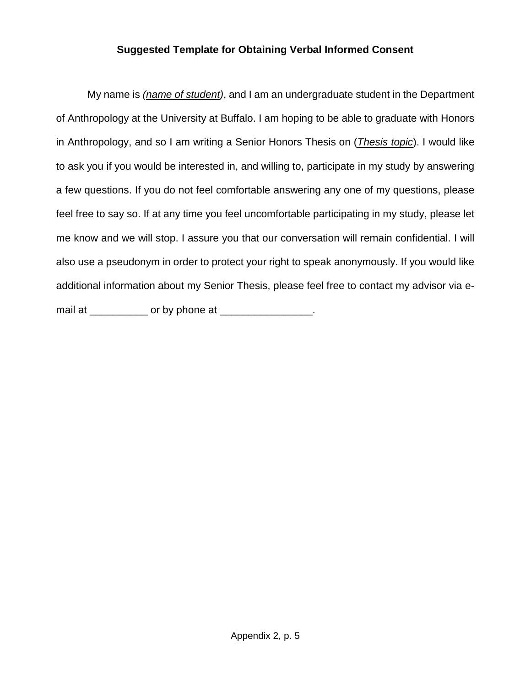## **Suggested Template for Obtaining Verbal Informed Consent**

My name is *(name of student)*, and I am an undergraduate student in the Department of Anthropology at the University at Buffalo. I am hoping to be able to graduate with Honors in Anthropology, and so I am writing a Senior Honors Thesis on (*Thesis topic*). I would like to ask you if you would be interested in, and willing to, participate in my study by answering a few questions. If you do not feel comfortable answering any one of my questions, please feel free to say so. If at any time you feel uncomfortable participating in my study, please let me know and we will stop. I assure you that our conversation will remain confidential. I will also use a pseudonym in order to protect your right to speak anonymously. If you would like additional information about my Senior Thesis, please feel free to contact my advisor via email at \_\_\_\_\_\_\_\_\_\_\_\_ or by phone at \_\_\_\_\_\_\_\_\_\_\_\_\_\_\_\_\_.